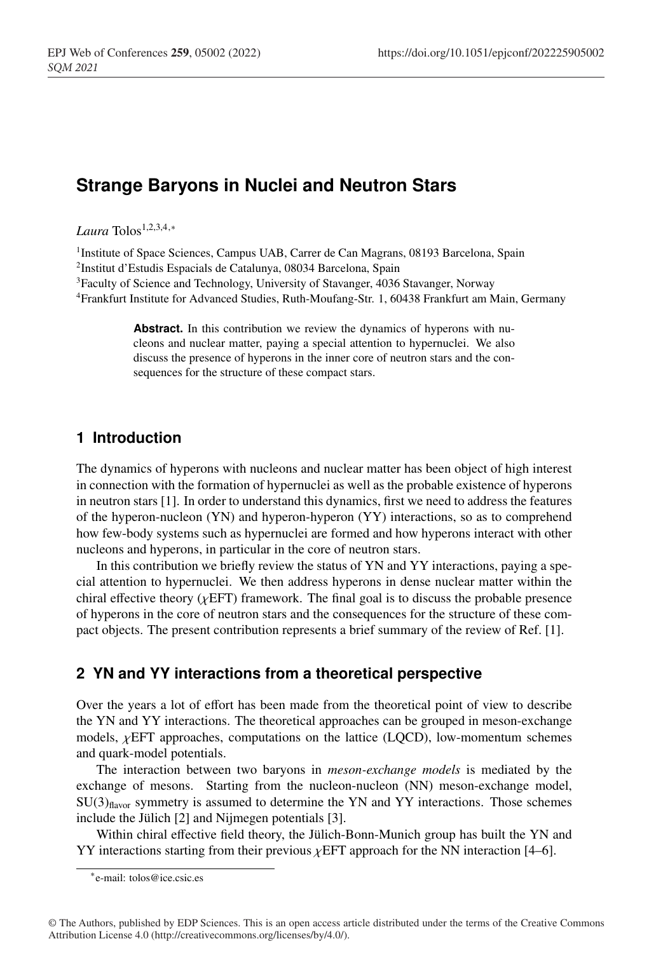# **Strange Baryons in Nuclei and Neutron Stars**

*Laura* Tolos1,2,3,4,<sup>∗</sup>

<sup>1</sup>Institute of Space Sciences, Campus UAB, Carrer de Can Magrans, 08193 Barcelona, Spain 2Institut d'Estudis Espacials de Catalunya, 08034 Barcelona, Spain <sup>3</sup>Faculty of Science and Technology, University of Stavanger, 4036 Stavanger, Norway 4Frankfurt Institute for Advanced Studies, Ruth-Moufang-Str. 1, 60438 Frankfurt am Main, Germany

> **Abstract.** In this contribution we review the dynamics of hyperons with nucleons and nuclear matter, paying a special attention to hypernuclei. We also discuss the presence of hyperons in the inner core of neutron stars and the consequences for the structure of these compact stars.

# **1 Introduction**

The dynamics of hyperons with nucleons and nuclear matter has been object of high interest in connection with the formation of hypernuclei as well as the probable existence of hyperons in neutron stars [1]. In order to understand this dynamics, first we need to address the features of the hyperon-nucleon (YN) and hyperon-hyperon (YY) interactions, so as to comprehend how few-body systems such as hypernuclei are formed and how hyperons interact with other nucleons and hyperons, in particular in the core of neutron stars.

In this contribution we briefly review the status of YN and YY interactions, paying a special attention to hypernuclei. We then address hyperons in dense nuclear matter within the chiral effective theory  $(\chi EFT)$  framework. The final goal is to discuss the probable presence of hyperons in the core of neutron stars and the consequences for the structure of these compact objects. The present contribution represents a brief summary of the review of Ref. [1].

# **2 YN and YY interactions from a theoretical perspective**

Over the years a lot of effort has been made from the theoretical point of view to describe the YN and YY interactions. The theoretical approaches can be grouped in meson-exchange models,  $\chi$ EFT approaches, computations on the lattice (LQCD), low-momentum schemes and quark-model potentials.

The interaction between two baryons in *meson-exchange models* is mediated by the exchange of mesons. Starting from the nucleon-nucleon (NN) meson-exchange model,  $SU(3)_{\text{flavor}}$  symmetry is assumed to determine the YN and YY interactions. Those schemes include the Jülich [2] and Nijmegen potentials [3].

Within chiral effective field theory, the Jülich-Bonn-Munich group has built the YN and YY interactions starting from their previous  $\chi$ EFT approach for the NN interaction [4–6].

<sup>∗</sup>e-mail: tolos@ice.csic.es

<sup>©</sup> The Authors, published by EDP Sciences. This is an open access article distributed under the terms of the Creative Commons Attribution License 4.0 (http://creativecommons.org/licenses/by/4.0/).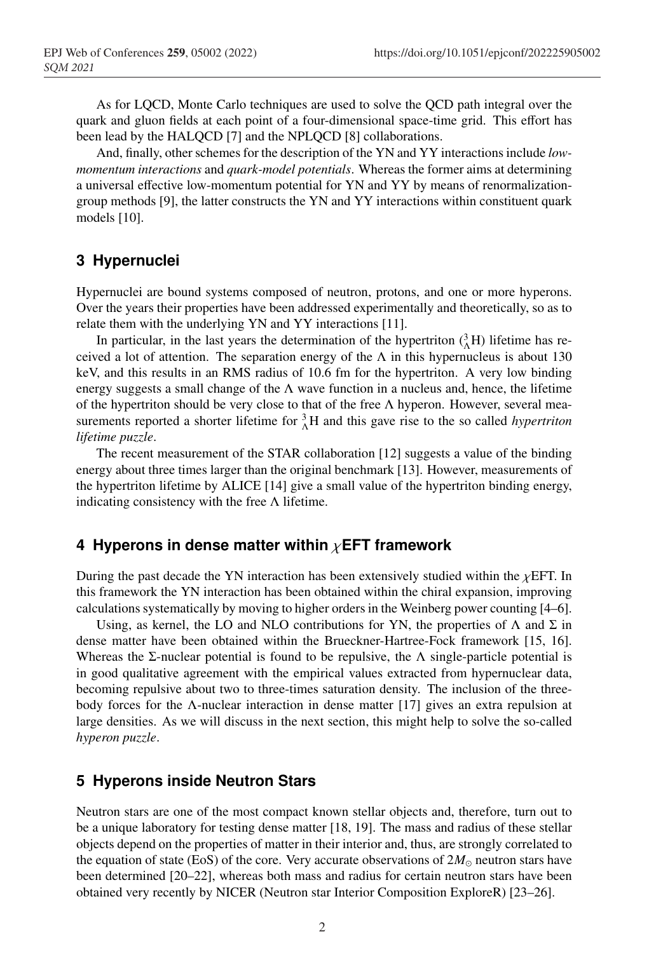As for LQCD, Monte Carlo techniques are used to solve the QCD path integral over the quark and gluon fields at each point of a four-dimensional space-time grid. This effort has been lead by the HALQCD [7] and the NPLQCD [8] collaborations.

And, finally, other schemes for the description of the YN and YY interactions include *lowmomentum interactions* and *quark-model potentials*. Whereas the former aims at determining a universal effective low-momentum potential for YN and YY by means of renormalizationgroup methods [9], the latter constructs the YN and YY interactions within constituent quark models [10].

# **3 Hypernuclei**

Hypernuclei are bound systems composed of neutron, protons, and one or more hyperons. Over the years their properties have been addressed experimentally and theoretically, so as to relate them with the underlying YN and YY interactions [11].

In particular, in the last years the determination of the hypertriton  $({}^{3}_{\Lambda}H)$  lifetime has received a lot of attention. The separation energy of the  $\Lambda$  in this hypernucleus is about 130 keV, and this results in an RMS radius of 10.6 fm for the hypertriton. A very low binding energy suggests a small change of the  $\Lambda$  wave function in a nucleus and, hence, the lifetime of the hypertriton should be very close to that of the free  $\Lambda$  hyperon. However, several measurements reported a shorter lifetime for  ${}_{\Lambda}^{3}H$  and this gave rise to the so called *hypertriton lifetime puzzle*.

The recent measurement of the STAR collaboration [12] suggests a value of the binding energy about three times larger than the original benchmark [13]. However, measurements of the hypertriton lifetime by ALICE [14] give a small value of the hypertriton binding energy, indicating consistency with the free  $\Lambda$  lifetime.

#### **4 Hyperons in dense matter within** χ**EFT framework**

During the past decade the YN interaction has been extensively studied within the  $\chi$ EFT. In this framework the YN interaction has been obtained within the chiral expansion, improving calculations systematically by moving to higher orders in the Weinberg power counting [4–6].

Using, as kernel, the LO and NLO contributions for YN, the properties of  $\Lambda$  and  $\Sigma$  in dense matter have been obtained within the Brueckner-Hartree-Fock framework [15, 16]. Whereas the Σ-nuclear potential is found to be repulsive, the  $\Lambda$  single-particle potential is in good qualitative agreement with the empirical values extracted from hypernuclear data, becoming repulsive about two to three-times saturation density. The inclusion of the threebody forces for the Λ-nuclear interaction in dense matter [17] gives an extra repulsion at large densities. As we will discuss in the next section, this might help to solve the so-called *hyperon puzzle*.

#### **5 Hyperons inside Neutron Stars**

Neutron stars are one of the most compact known stellar objects and, therefore, turn out to be a unique laboratory for testing dense matter [18, 19]. The mass and radius of these stellar objects depend on the properties of matter in their interior and, thus, are strongly correlated to the equation of state (EoS) of the core. Very accurate observations of  $2M_{\odot}$  neutron stars have been determined [20–22], whereas both mass and radius for certain neutron stars have been obtained very recently by NICER (Neutron star Interior Composition ExploreR) [23–26].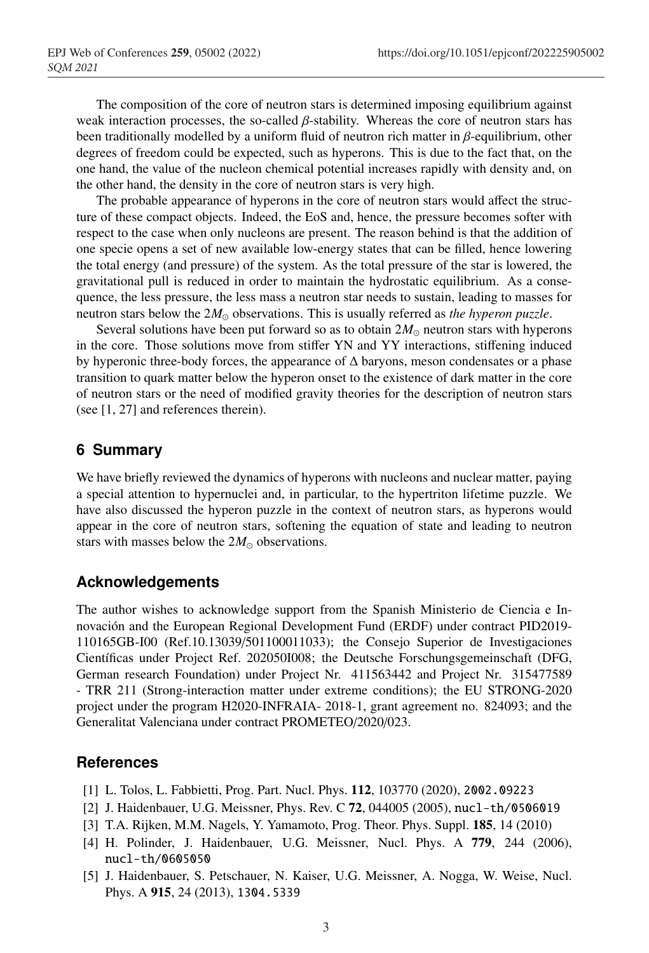The composition of the core of neutron stars is determined imposing equilibrium against weak interaction processes, the so-called  $\beta$ -stability. Whereas the core of neutron stars has been traditionally modelled by a uniform fluid of neutron rich matter in  $\beta$ -equilibrium, other degrees of freedom could be expected, such as hyperons. This is due to the fact that, on the one hand, the value of the nucleon chemical potential increases rapidly with density and, on the other hand, the density in the core of neutron stars is very high.

The probable appearance of hyperons in the core of neutron stars would affect the structure of these compact objects. Indeed, the EoS and, hence, the pressure becomes softer with respect to the case when only nucleons are present. The reason behind is that the addition of one specie opens a set of new available low-energy states that can be filled, hence lowering the total energy (and pressure) of the system. As the total pressure of the star is lowered, the gravitational pull is reduced in order to maintain the hydrostatic equilibrium. As a consequence, the less pressure, the less mass a neutron star needs to sustain, leading to masses for neutron stars below the  $2M_{\odot}$  observations. This is usually referred as *the hyperon puzzle*.

Several solutions have been put forward so as to obtain  $2M_{\odot}$  neutron stars with hyperons in the core. Those solutions move from stiffer YN and YY interactions, stiffening induced by hyperonic three-body forces, the appearance of ∆ baryons, meson condensates or a phase transition to quark matter below the hyperon onset to the existence of dark matter in the core of neutron stars or the need of modified gravity theories for the description of neutron stars (see [1, 27] and references therein).

# **6 Summary**

We have briefly reviewed the dynamics of hyperons with nucleons and nuclear matter, paying a special attention to hypernuclei and, in particular, to the hypertriton lifetime puzzle. We have also discussed the hyperon puzzle in the context of neutron stars, as hyperons would appear in the core of neutron stars, softening the equation of state and leading to neutron stars with masses below the  $2M_{\odot}$  observations.

# **Acknowledgements**

The author wishes to acknowledge support from the Spanish Ministerio de Ciencia e Innovación and the European Regional Development Fund (ERDF) under contract PID2019- 110165GB-I00 (Ref.10.13039/501100011033); the Consejo Superior de Investigaciones Científicas under Project Ref. 202050I008; the Deutsche Forschungsgemeinschaft (DFG, German research Foundation) under Project Nr. 411563442 and Project Nr. 315477589 - TRR 211 (Strong-interaction matter under extreme conditions); the EU STRONG-2020 project under the program H2020-INFRAIA- 2018-1, grant agreement no. 824093; and the Generalitat Valenciana under contract PROMETEO/2020/023.

# **References**

- [1] L. Tolos, L. Fabbietti, Prog. Part. Nucl. Phys. 112, 103770 (2020), 2002.09223
- [2] J. Haidenbauer, U.G. Meissner, Phys. Rev. C 72, 044005 (2005), nucl-th/0506019
- [3] T.A. Rijken, M.M. Nagels, Y. Yamamoto, Prog. Theor. Phys. Suppl. 185, 14 (2010)
- [4] H. Polinder, J. Haidenbauer, U.G. Meissner, Nucl. Phys. A 779, 244 (2006), nucl-th/0605050
- [5] J. Haidenbauer, S. Petschauer, N. Kaiser, U.G. Meissner, A. Nogga, W. Weise, Nucl. Phys. A 915, 24 (2013), 1304.5339